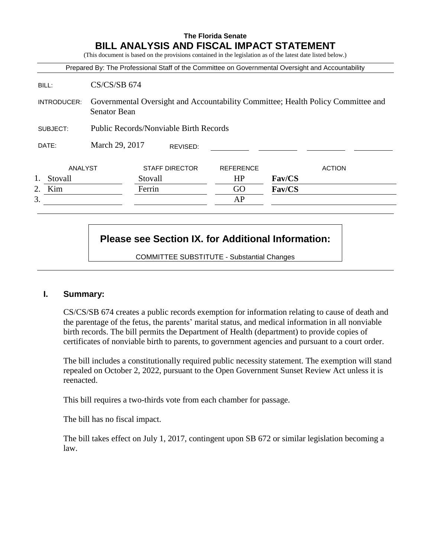### **The Florida Senate BILL ANALYSIS AND FISCAL IMPACT STATEMENT**

(This document is based on the provisions contained in the legislation as of the latest date listed below.)

|               |                                                                                                         |                       |          |                  |        | Prepared By: The Professional Staff of the Committee on Governmental Oversight and Accountability |
|---------------|---------------------------------------------------------------------------------------------------------|-----------------------|----------|------------------|--------|---------------------------------------------------------------------------------------------------|
| BILL:         | $CS/CS/SB$ 674                                                                                          |                       |          |                  |        |                                                                                                   |
| INTRODUCER:   | Governmental Oversight and Accountability Committee; Health Policy Committee and<br><b>Senator Bean</b> |                       |          |                  |        |                                                                                                   |
| SUBJECT:      | <b>Public Records/Nonviable Birth Records</b>                                                           |                       |          |                  |        |                                                                                                   |
| DATE:         | March 29, 2017                                                                                          |                       | REVISED: |                  |        |                                                                                                   |
| ANALYST       |                                                                                                         | <b>STAFF DIRECTOR</b> |          | <b>REFERENCE</b> |        | <b>ACTION</b>                                                                                     |
| 1.<br>Stovall |                                                                                                         | Stovall               |          | HP               | Fav/CS |                                                                                                   |
| Kim<br>2.     |                                                                                                         | Ferrin                |          | GO               | Fav/CS |                                                                                                   |
| 3.            |                                                                                                         |                       |          | AP               |        |                                                                                                   |
|               |                                                                                                         |                       |          |                  |        |                                                                                                   |

# **Please see Section IX. for Additional Information:**

COMMITTEE SUBSTITUTE - Substantial Changes

### **I. Summary:**

CS/CS/SB 674 creates a public records exemption for information relating to cause of death and the parentage of the fetus, the parents' marital status, and medical information in all nonviable birth records. The bill permits the Department of Health (department) to provide copies of certificates of nonviable birth to parents, to government agencies and pursuant to a court order.

The bill includes a constitutionally required public necessity statement. The exemption will stand repealed on October 2, 2022, pursuant to the Open Government Sunset Review Act unless it is reenacted.

This bill requires a two-thirds vote from each chamber for passage.

The bill has no fiscal impact.

The bill takes effect on July 1, 2017, contingent upon SB 672 or similar legislation becoming a law.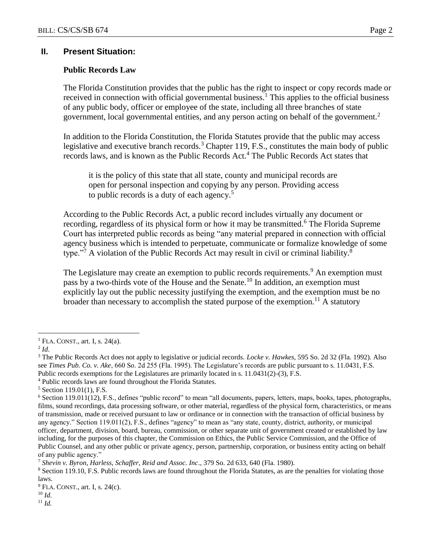### **II. Present Situation:**

#### **Public Records Law**

The Florida Constitution provides that the public has the right to inspect or copy records made or received in connection with official governmental business.<sup>1</sup> This applies to the official business of any public body, officer or employee of the state, including all three branches of state government, local governmental entities, and any person acting on behalf of the government.<sup>2</sup>

In addition to the Florida Constitution, the Florida Statutes provide that the public may access legislative and executive branch records.<sup>3</sup> Chapter 119, F.S., constitutes the main body of public records laws, and is known as the Public Records Act.<sup>4</sup> The Public Records Act states that

it is the policy of this state that all state, county and municipal records are open for personal inspection and copying by any person. Providing access to public records is a duty of each agency.<sup>5</sup>

According to the Public Records Act, a public record includes virtually any document or recording, regardless of its physical form or how it may be transmitted.<sup>6</sup> The Florida Supreme Court has interpreted public records as being "any material prepared in connection with official agency business which is intended to perpetuate, communicate or formalize knowledge of some type."<sup>7</sup> A violation of the Public Records Act may result in civil or criminal liability.<sup>8</sup>

The Legislature may create an exemption to public records requirements.<sup>9</sup> An exemption must pass by a two-thirds vote of the House and the Senate.<sup>10</sup> In addition, an exemption must explicitly lay out the public necessity justifying the exemption, and the exemption must be no broader than necessary to accomplish the stated purpose of the exemption.<sup>11</sup> A statutory

 $\overline{a}$ 

<sup>4</sup> Public records laws are found throughout the Florida Statutes.

<sup>11</sup> *Id.*

 $<sup>1</sup>$  FLA. CONST., art. I, s. 24(a).</sup>

<sup>2</sup> *Id*.

<sup>3</sup> The Public Records Act does not apply to legislative or judicial records. *Locke v. Hawkes*, 595 So. 2d 32 (Fla. 1992). Also see *Times Pub. Co. v. Ake*, 660 So. 2d 255 (Fla. 1995). The Legislature's records are public pursuant to s. 11.0431, F.S. Public records exemptions for the Legislatures are primarily located in s. 11.0431(2)-(3), F.S.

 $5$  Section 119.01(1), F.S.

 $6$  Section 119.011(12), F.S., defines "public record" to mean "all documents, papers, letters, maps, books, tapes, photographs, films, sound recordings, data processing software, or other material, regardless of the physical form, characteristics, or means of transmission, made or received pursuant to law or ordinance or in connection with the transaction of official business by any agency." Section 119.011(2), F.S., defines "agency" to mean as "any state, county, district, authority, or municipal officer, department, division, board, bureau, commission, or other separate unit of government created or established by law including, for the purposes of this chapter, the Commission on Ethics, the Public Service Commission, and the Office of Public Counsel, and any other public or private agency, person, partnership, corporation, or business entity acting on behalf of any public agency."

<sup>7</sup> *Shevin v. Byron, Harless, Schaffer, Reid and Assoc. Inc*., 379 So. 2d 633, 640 (Fla. 1980).

<sup>&</sup>lt;sup>8</sup> Section 119.10, F.S. Public records laws are found throughout the Florida Statutes, as are the penalties for violating those laws.

 $9$  FLA. CONST., art. I, s. 24(c).

<sup>10</sup> *Id.*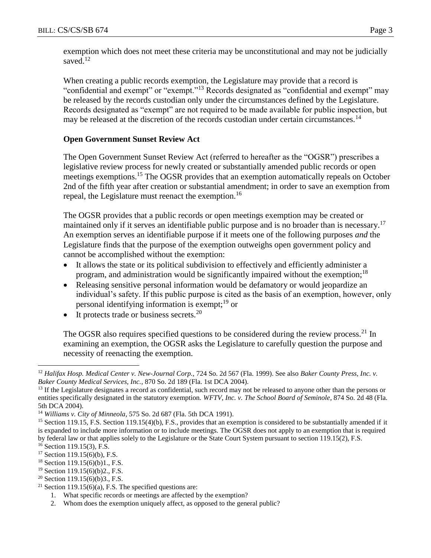exemption which does not meet these criteria may be unconstitutional and may not be judicially saved.<sup>12</sup>

When creating a public records exemption, the Legislature may provide that a record is "confidential and exempt" or "exempt."<sup>13</sup> Records designated as "confidential and exempt" may be released by the records custodian only under the circumstances defined by the Legislature. Records designated as "exempt" are not required to be made available for public inspection, but may be released at the discretion of the records custodian under certain circumstances.<sup>14</sup>

### **Open Government Sunset Review Act**

The Open Government Sunset Review Act (referred to hereafter as the "OGSR") prescribes a legislative review process for newly created or substantially amended public records or open meetings exemptions.<sup>15</sup> The OGSR provides that an exemption automatically repeals on October 2nd of the fifth year after creation or substantial amendment; in order to save an exemption from repeal, the Legislature must reenact the exemption.<sup>16</sup>

The OGSR provides that a public records or open meetings exemption may be created or maintained only if it serves an identifiable public purpose and is no broader than is necessary.<sup>17</sup> An exemption serves an identifiable purpose if it meets one of the following purposes *and* the Legislature finds that the purpose of the exemption outweighs open government policy and cannot be accomplished without the exemption:

- It allows the state or its political subdivision to effectively and efficiently administer a program, and administration would be significantly impaired without the exemption;<sup>18</sup>
- Releasing sensitive personal information would be defamatory or would jeopardize an individual's safety. If this public purpose is cited as the basis of an exemption, however, only personal identifying information is exempt;<sup>19</sup> or
- It protects trade or business secrets.<sup>20</sup>

The OGSR also requires specified questions to be considered during the review process.<sup>21</sup> In examining an exemption, the OGSR asks the Legislature to carefully question the purpose and necessity of reenacting the exemption.

 $\overline{a}$ 

<sup>12</sup> *Halifax Hosp. Medical Center v. New-Journal Corp.,* 724 So. 2d 567 (Fla. 1999). See also *Baker County Press, Inc. v. Baker County Medical Services, Inc.*, 870 So. 2d 189 (Fla. 1st DCA 2004).

<sup>&</sup>lt;sup>13</sup> If the Legislature designates a record as confidential, such record may not be released to anyone other than the persons or entities specifically designated in the statutory exemption. *WFTV, Inc. v. The School Board of Seminole*, 874 So. 2d 48 (Fla. 5th DCA 2004).

<sup>14</sup> *Williams v. City of Minneola*, 575 So. 2d 687 (Fla. 5th DCA 1991).

<sup>&</sup>lt;sup>15</sup> Section 119.15, F.S. Section 119.15(4)(b), F.S., provides that an exemption is considered to be substantially amended if it is expanded to include more information or to include meetings. The OGSR does not apply to an exemption that is required by federal law or that applies solely to the Legislature or the State Court System pursuant to section 119.15(2), F.S.

 $16$  Section 119.15(3), F.S.

 $17$  Section 119.15(6)(b), F.S.

<sup>18</sup> Section 119.15(6)(b)1., F.S.

<sup>19</sup> Section 119.15(6)(b)2., F.S.

<sup>&</sup>lt;sup>20</sup> Section 119.15(6)(b)3., F.S.

<sup>&</sup>lt;sup>21</sup> Section 119.15(6)(a), F.S. The specified questions are:

<sup>1.</sup> What specific records or meetings are affected by the exemption?

<sup>2.</sup> Whom does the exemption uniquely affect, as opposed to the general public?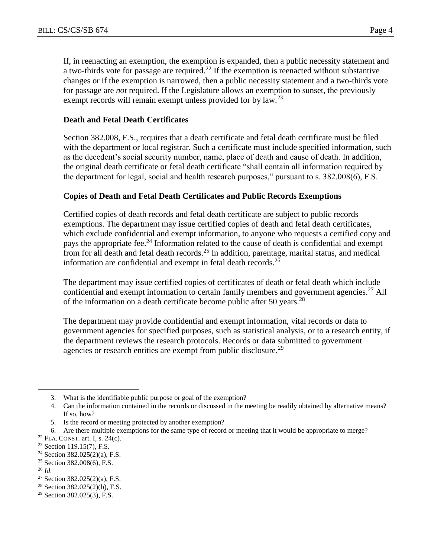If, in reenacting an exemption, the exemption is expanded, then a public necessity statement and a two-thirds vote for passage are required.<sup>22</sup> If the exemption is reenacted without substantive changes or if the exemption is narrowed, then a public necessity statement and a two-thirds vote for passage are *not* required. If the Legislature allows an exemption to sunset, the previously exempt records will remain exempt unless provided for by law.<sup>23</sup>

### **Death and Fetal Death Certificates**

Section 382.008, F.S., requires that a death certificate and fetal death certificate must be filed with the department or local registrar. Such a certificate must include specified information, such as the decedent's social security number, name, place of death and cause of death. In addition, the original death certificate or fetal death certificate "shall contain all information required by the department for legal, social and health research purposes," pursuant to s. 382.008(6), F.S.

#### **Copies of Death and Fetal Death Certificates and Public Records Exemptions**

Certified copies of death records and fetal death certificate are subject to public records exemptions. The department may issue certified copies of death and fetal death certificates, which exclude confidential and exempt information, to anyone who requests a certified copy and pays the appropriate fee.<sup>24</sup> Information related to the cause of death is confidential and exempt from for all death and fetal death records.<sup>25</sup> In addition, parentage, marital status, and medical information are confidential and exempt in fetal death records.<sup>26</sup>

The department may issue certified copies of certificates of death or fetal death which include confidential and exempt information to certain family members and government agencies.<sup>27</sup> All of the information on a death certificate become public after 50 years.<sup>28</sup>

The department may provide confidential and exempt information, vital records or data to government agencies for specified purposes, such as statistical analysis, or to a research entity, if the department reviews the research protocols. Records or data submitted to government agencies or research entities are exempt from public disclosure.<sup>29</sup>

 $\overline{a}$ 

<sup>3.</sup> What is the identifiable public purpose or goal of the exemption?

<sup>4.</sup> Can the information contained in the records or discussed in the meeting be readily obtained by alternative means? If so, how?

<sup>5.</sup> Is the record or meeting protected by another exemption?

<sup>6.</sup> Are there multiple exemptions for the same type of record or meeting that it would be appropriate to merge?

 $22$  FLA. CONST. art. I, s. 24(c).

<sup>23</sup> Section 119.15(7), F.S.

<sup>&</sup>lt;sup>24</sup> Section 382.025(2)(a), F.S.

<sup>25</sup> Section 382.008(6), F.S.

<sup>26</sup> *Id.*

<sup>27</sup> Section 382.025(2)(a), F.S.

 $28$  Section 382.025(2)(b), F.S.

<sup>29</sup> Section 382.025(3), F.S.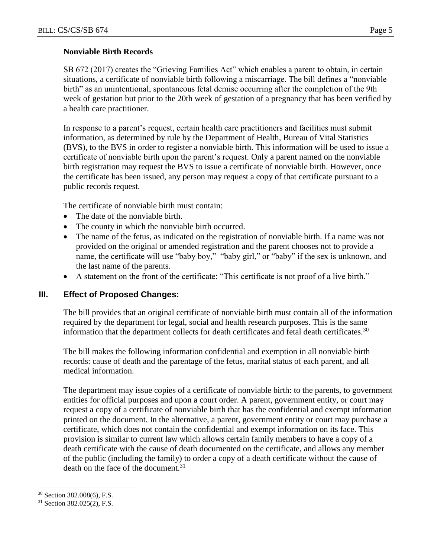### **Nonviable Birth Records**

SB 672 (2017) creates the "Grieving Families Act" which enables a parent to obtain, in certain situations, a certificate of nonviable birth following a miscarriage. The bill defines a "nonviable birth" as an unintentional, spontaneous fetal demise occurring after the completion of the 9th week of gestation but prior to the 20th week of gestation of a pregnancy that has been verified by a health care practitioner.

In response to a parent's request, certain health care practitioners and facilities must submit information, as determined by rule by the Department of Health, Bureau of Vital Statistics (BVS), to the BVS in order to register a nonviable birth. This information will be used to issue a certificate of nonviable birth upon the parent's request. Only a parent named on the nonviable birth registration may request the BVS to issue a certificate of nonviable birth. However, once the certificate has been issued, any person may request a copy of that certificate pursuant to a public records request.

The certificate of nonviable birth must contain:

- The date of the nonviable birth.
- The county in which the nonviable birth occurred.
- The name of the fetus, as indicated on the registration of nonviable birth. If a name was not provided on the original or amended registration and the parent chooses not to provide a name, the certificate will use "baby boy," "baby girl," or "baby" if the sex is unknown, and the last name of the parents.
- A statement on the front of the certificate: "This certificate is not proof of a live birth."

### **III. Effect of Proposed Changes:**

The bill provides that an original certificate of nonviable birth must contain all of the information required by the department for legal, social and health research purposes. This is the same information that the department collects for death certificates and fetal death certificates.<sup>30</sup>

The bill makes the following information confidential and exemption in all nonviable birth records: cause of death and the parentage of the fetus, marital status of each parent, and all medical information.

The department may issue copies of a certificate of nonviable birth: to the parents, to government entities for official purposes and upon a court order. A parent, government entity, or court may request a copy of a certificate of nonviable birth that has the confidential and exempt information printed on the document. In the alternative, a parent, government entity or court may purchase a certificate, which does not contain the confidential and exempt information on its face. This provision is similar to current law which allows certain family members to have a copy of a death certificate with the cause of death documented on the certificate, and allows any member of the public (including the family) to order a copy of a death certificate without the cause of death on the face of the document.<sup>31</sup>

 $\overline{a}$ 

<sup>30</sup> Section 382.008(6), F.S.

<sup>31</sup> Section 382.025(2), F.S.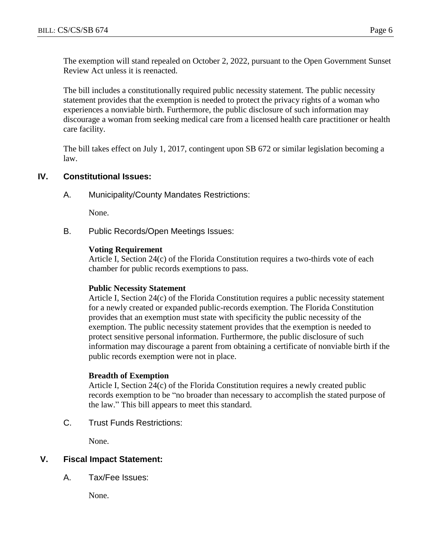The exemption will stand repealed on October 2, 2022, pursuant to the Open Government Sunset Review Act unless it is reenacted.

The bill includes a constitutionally required public necessity statement. The public necessity statement provides that the exemption is needed to protect the privacy rights of a woman who experiences a nonviable birth. Furthermore, the public disclosure of such information may discourage a woman from seeking medical care from a licensed health care practitioner or health care facility.

The bill takes effect on July 1, 2017, contingent upon SB 672 or similar legislation becoming a law.

### **IV. Constitutional Issues:**

A. Municipality/County Mandates Restrictions:

None.

B. Public Records/Open Meetings Issues:

#### **Voting Requirement**

Article I, Section 24(c) of the Florida Constitution requires a two-thirds vote of each chamber for public records exemptions to pass.

#### **Public Necessity Statement**

Article I, Section 24(c) of the Florida Constitution requires a public necessity statement for a newly created or expanded public-records exemption. The Florida Constitution provides that an exemption must state with specificity the public necessity of the exemption. The public necessity statement provides that the exemption is needed to protect sensitive personal information. Furthermore, the public disclosure of such information may discourage a parent from obtaining a certificate of nonviable birth if the public records exemption were not in place.

### **Breadth of Exemption**

Article I, Section 24(c) of the Florida Constitution requires a newly created public records exemption to be "no broader than necessary to accomplish the stated purpose of the law." This bill appears to meet this standard.

C. Trust Funds Restrictions:

None.

### **V. Fiscal Impact Statement:**

A. Tax/Fee Issues:

None.